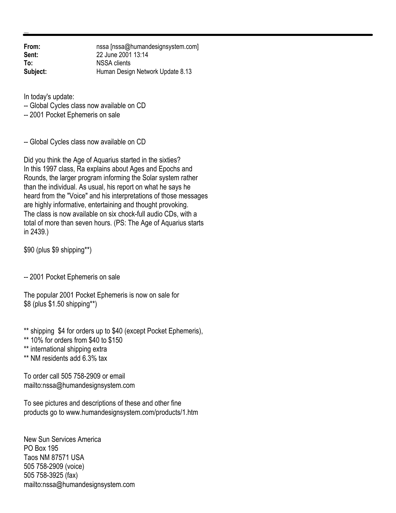**From:** nssa [nssa@humandesignsystem.com]<br> **Sent:** 22 June 2001 13:14 **Sent:** 22 June 2001 13:14 **To:** NSSA clients **Subject:** Human Design Network Update 8.13

In today's update:

-- Global Cycles class now available on CD

-- 2001 Pocket Ephemeris on sale

-- Global Cycles class now available on CD

Did you think the Age of Aquarius started in the sixties? In this 1997 class, Ra explains about Ages and Epochs and Rounds, the larger program informing the Solar system rather than the individual. As usual, his report on what he says he heard from the "Voice" and his interpretations of those messages are highly informative, entertaining and thought provoking. The class is now available on six chock-full audio CDs, with a total of more than seven hours. (PS: The Age of Aquarius starts in 2439.)

\$90 (plus \$9 shipping\*\*)

-- 2001 Pocket Ephemeris on sale

The popular 2001 Pocket Ephemeris is now on sale for \$8 (plus \$1.50 shipping\*\*)

\*\* shipping \$4 for orders up to \$40 (except Pocket Ephemeris),

\*\* 10% for orders from \$40 to \$150

\*\* international shipping extra

\*\* NM residents add 6.3% tax

To order call 505 758-2909 or email mailto:nssa@humandesignsystem.com

To see pictures and descriptions of these and other fine products go to www.humandesignsystem.com/products/1.htm

New Sun Services America PO Box 195 Taos NM 87571 USA 505 758-2909 (voice) 505 758-3925 (fax) mailto:nssa@humandesignsystem.com